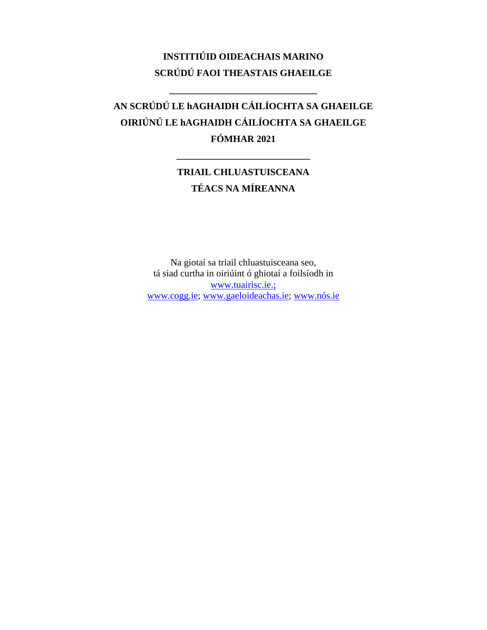# **INSTITIÚID OIDEACHAIS MARINO SCRÚDÚ FAOI THEASTAIS GHAEILGE**

**\_\_\_\_\_\_\_\_\_\_\_\_\_\_\_\_\_\_\_\_\_\_\_\_\_\_\_\_\_\_\_**

# **AN SCRÚDÚ LE hAGHAIDH CÁILÍOCHTA SA GHAEILGE OIRIÚNÚ LE hAGHAIDH CÁILÍOCHTA SA GHAEILGE FÓMHAR 2021**

# **TRIAIL CHLUASTUISCEANA TÉACS NA MÍREANNA**

**\_\_\_\_\_\_\_\_\_\_\_\_\_\_\_\_\_\_\_\_\_\_\_\_\_\_\_\_**

Na giotaí sa triail chluastuisceana seo, tá siad curtha in oiriúint ó ghiotaí a foilsíodh in www.tuairisc.ie.; [www.cogg.ie;](http://www.cogg.ie/) [www.gaeloideachas.ie;](http://www.gaeloideachas.ie/) [www.nós.ie](http://www.nós.ie/)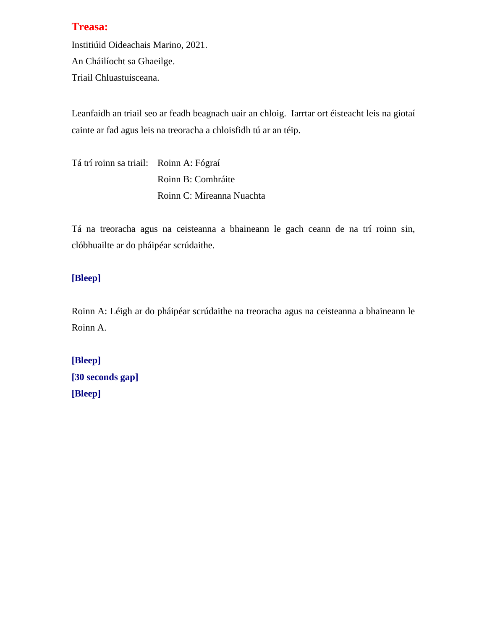Institiúid Oideachais Marino, 2021.

An Cháilíocht sa Ghaeilge.

Triail Chluastuisceana.

Leanfaidh an triail seo ar feadh beagnach uair an chloig. Iarrtar ort éisteacht leis na giotaí cainte ar fad agus leis na treoracha a chloisfidh tú ar an téip.

Tá trí roinn sa triail: Roinn A: Fógraí Roinn B: Comhráite Roinn C: Míreanna Nuachta

Tá na treoracha agus na ceisteanna a bhaineann le gach ceann de na trí roinn sin, clóbhuailte ar do pháipéar scrúdaithe.

# **[Bleep]**

Roinn A: Léigh ar do pháipéar scrúdaithe na treoracha agus na ceisteanna a bhaineann le Roinn A.

```
[Bleep]
[30 seconds gap]
[Bleep]
```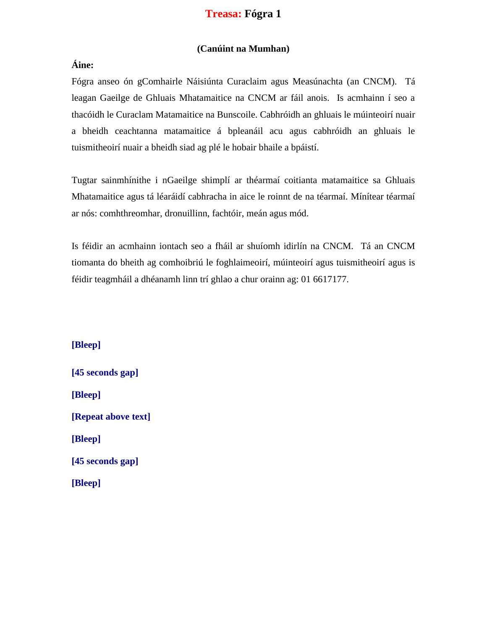# **Treasa: Fógra 1**

#### **(Canúint na Mumhan)**

## **Áine:**

Fógra anseo ón gComhairle Náisiúnta Curaclaim agus Measúnachta (an CNCM). Tá leagan Gaeilge de Ghluais Mhatamaitice na CNCM ar fáil anois. Is acmhainn í seo a thacóidh le Curaclam Matamaitice na Bunscoile. Cabhróidh an ghluais le múinteoirí nuair a bheidh ceachtanna matamaitice á bpleanáil acu agus cabhróidh an ghluais le tuismitheoirí nuair a bheidh siad ag plé le hobair bhaile a bpáistí.

Tugtar sainmhínithe i nGaeilge shimplí ar théarmaí coitianta matamaitice sa Ghluais Mhatamaitice agus tá léaráidí cabhracha in aice le roinnt de na téarmaí. Mínítear téarmaí ar nós: comhthreomhar, dronuillinn, fachtóir, meán agus mód.

Is féidir an acmhainn iontach seo a fháil ar shuíomh idirlín na CNCM. Tá an CNCM tiomanta do bheith ag comhoibriú le foghlaimeoirí, múinteoirí agus tuismitheoirí agus is féidir teagmháil a dhéanamh linn trí ghlao a chur orainn ag: 01 6617177.

**[Bleep] [45 seconds gap] [Bleep] [Repeat above text]**

**[Bleep]**

**[45 seconds gap]**

**[Bleep]**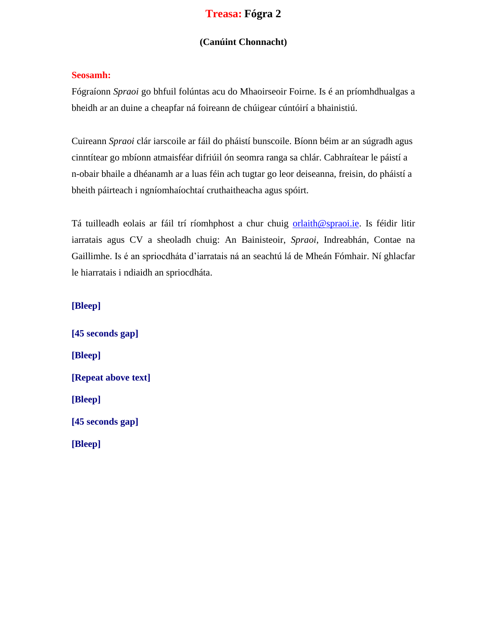# **Treasa: Fógra 2**

#### **(Canúint Chonnacht)**

#### **Seosamh:**

Fógraíonn *Spraoi* go bhfuil folúntas acu do Mhaoirseoir Foirne. Is é an príomhdhualgas a bheidh ar an duine a cheapfar ná foireann de chúigear cúntóirí a bhainistiú.

Cuireann *Spraoi* clár iarscoile ar fáil do pháistí bunscoile. Bíonn béim ar an súgradh agus cinntítear go mbíonn atmaisféar difriúil ón seomra ranga sa chlár. Cabhraítear le páistí a n-obair bhaile a dhéanamh ar a luas féin ach tugtar go leor deiseanna, freisin, do pháistí a bheith páirteach i ngníomhaíochtaí cruthaitheacha agus spóirt.

Tá tuilleadh eolais ar fáil trí ríomhphost a chur chuig [orlaith@spraoi.ie.](mailto:orlaith@spraoi.ie) Is féidir litir iarratais agus CV a sheoladh chuig: An Bainisteoir, *Spraoi*, Indreabhán, Contae na Gaillimhe. Is é an spriocdháta d'iarratais ná an seachtú lá de Mheán Fómhair. Ní ghlacfar le hiarratais i ndiaidh an spriocdháta.

#### **[Bleep]**

**[45 seconds gap] [Bleep] [Repeat above text] [Bleep] [45 seconds gap] [Bleep]**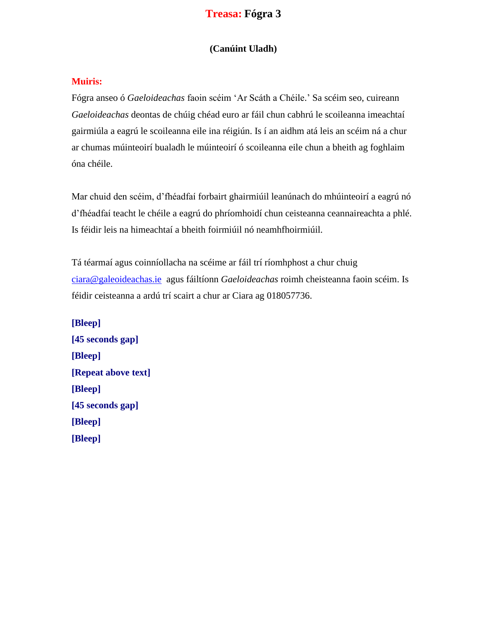# **Treasa: Fógra 3**

### **(Canúint Uladh)**

#### **Muiris:**

Fógra anseo ó *Gaeloideachas* faoin scéim 'Ar Scáth a Chéile.' Sa scéim seo, cuireann *Gaeloideachas* deontas de chúig chéad euro ar fáil chun cabhrú le scoileanna imeachtaí gairmiúla a eagrú le scoileanna eile ina réigiún. Is í an aidhm atá leis an scéim ná a chur ar chumas múinteoirí bualadh le múinteoirí ó scoileanna eile chun a bheith ag foghlaim óna chéile.

Mar chuid den scéim, d'fhéadfaí forbairt ghairmiúil leanúnach do mhúinteoirí a eagrú nó d'fhéadfaí teacht le chéile a eagrú do phríomhoidí chun ceisteanna ceannaireachta a phlé. Is féidir leis na himeachtaí a bheith foirmiúil nó neamhfhoirmiúil.

Tá téarmaí agus coinníollacha na scéime ar fáil trí ríomhphost a chur chuig [ciara@galeoideachas.ie](mailto:ciara@galeoideachas.ie) agus fáiltíonn *Gaeloideachas* roimh cheisteanna faoin scéim. Is féidir ceisteanna a ardú trí scairt a chur ar Ciara ag 018057736.

**[Bleep] [45 seconds gap] [Bleep] [Repeat above text] [Bleep] [45 seconds gap] [Bleep] [Bleep]**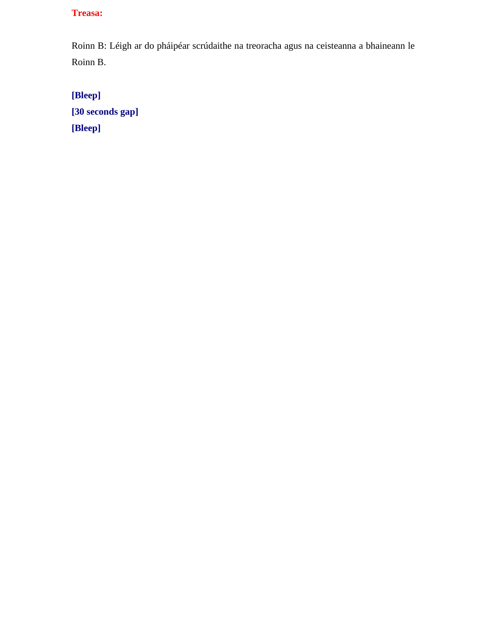Roinn B: Léigh ar do pháipéar scrúdaithe na treoracha agus na ceisteanna a bhaineann le Roinn B.

**[Bleep] [30 seconds gap] [Bleep]**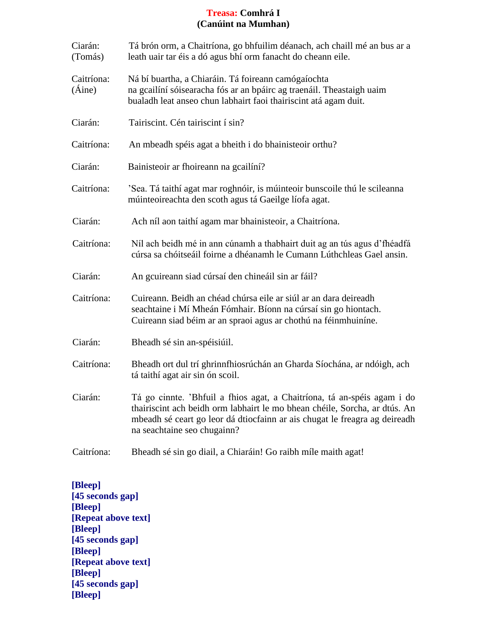### **Treasa: Comhrá I (Canúint na Mumhan)**

| Ciarán:<br>(Tomás)   | Tá brón orm, a Chaitríona, go bhfuilim déanach, ach chaill mé an bus ar a<br>leath uair tar éis a dó agus bhí orm fanacht do cheann eile.                                                                                                                          |
|----------------------|--------------------------------------------------------------------------------------------------------------------------------------------------------------------------------------------------------------------------------------------------------------------|
| Caitríona:<br>(Aine) | Ná bí buartha, a Chiaráin. Tá foireann camógaíochta<br>na gcailíní sóisearacha fós ar an bpáirc ag traenáil. Theastaigh uaim<br>bualadh leat anseo chun labhairt faoi thairiscint atá agam duit.                                                                   |
| Ciarán:              | Tairiscint. Cén tairiscint í sin?                                                                                                                                                                                                                                  |
| Caitríona:           | An mbeadh spéis agat a bheith i do bhainisteoir orthu?                                                                                                                                                                                                             |
| Ciarán:              | Bainisteoir ar fhoireann na gcailíní?                                                                                                                                                                                                                              |
| Caitríona:           | 'Sea. Tá taithí agat mar roghnóir, is múinteoir bunscoile thú le scileanna<br>múinteoireachta den scoth agus tá Gaeilge líofa agat.                                                                                                                                |
| Ciarán:              | Ach níl aon taithí agam mar bhainisteoir, a Chaitríona.                                                                                                                                                                                                            |
| Caitríona:           | Níl ach beidh mé in ann cúnamh a thabhairt duit ag an tús agus d'fhéadfá<br>cúrsa sa chóitseáil foirne a dhéanamh le Cumann Lúthchleas Gael ansin.                                                                                                                 |
| Ciarán:              | An gcuireann siad cúrsaí den chineáil sin ar fáil?                                                                                                                                                                                                                 |
| Caitríona:           | Cuireann. Beidh an chéad chúrsa eile ar siúl ar an dara deireadh<br>seachtaine i Mí Mheán Fómhair. Bíonn na cúrsaí sin go hiontach.<br>Cuireann siad béim ar an spraoi agus ar chothú na féinmhuiníne.                                                             |
| Ciarán:              | Bheadh sé sin an-spéisiúil.                                                                                                                                                                                                                                        |
| Caitríona:           | Bheadh ort dul trí ghrinnfhiosrúchán an Gharda Síochána, ar ndóigh, ach<br>tá taithí agat air sin ón scoil.                                                                                                                                                        |
| Ciarán:              | Tá go cinnte. 'Bhfuil a fhios agat, a Chaitríona, tá an-spéis agam i do<br>thairiscint ach beidh orm labhairt le mo bhean chéile, Sorcha, ar dtús. An<br>mbeadh sé ceart go leor dá dtiocfainn ar ais chugat le freagra ag deireadh<br>na seachtaine seo chugainn? |
| Caitríona:           | Bheadh sé sin go diail, a Chiaráin! Go raibh míle maith agat!                                                                                                                                                                                                      |

**[Bleep] [45 seconds gap] [Bleep] [Repeat above text] [Bleep] [45 seconds gap] [Bleep] [Repeat above text] [Bleep] [45 seconds gap] [Bleep]**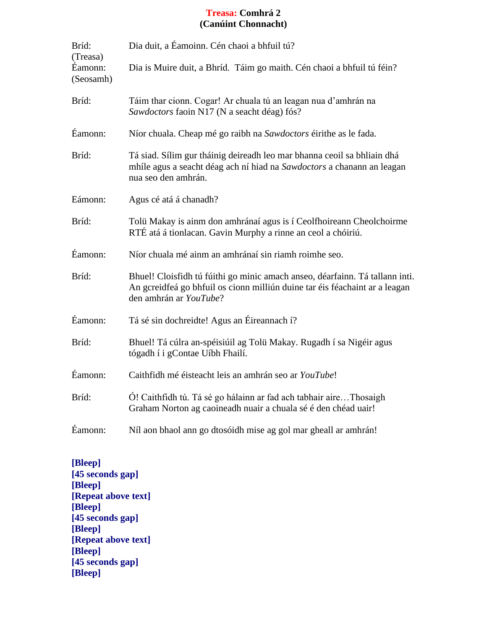### **Treasa: Comhrá 2 (Canúint Chonnacht)**

| Bríd:<br>(Treasa)    | Dia duit, a Éamoinn. Cén chaoi a bhfuil tú?                                                                                                                                           |
|----------------------|---------------------------------------------------------------------------------------------------------------------------------------------------------------------------------------|
| Éamonn:<br>(Seosamh) | Dia is Muire duit, a Bhríd. Táim go maith. Cén chaoi a bhfuil tú féin?                                                                                                                |
| Bríd:                | Táim thar cionn. Cogar! Ar chuala tú an leagan nua d'amhrán na<br>Sawdoctors faoin N17 (N a seacht déag) fós?                                                                         |
| Éamonn:              | Níor chuala. Cheap mé go raibh na Sawdoctors éirithe as le fada.                                                                                                                      |
| Bríd:                | Tá siad. Sílim gur tháinig deireadh leo mar bhanna ceoil sa bhliain dhá<br>mhíle agus a seacht déag ach ní hiad na Sawdoctors a chanann an leagan<br>nua seo den amhrán.              |
| Eámonn:              | Agus cé atá á chanadh?                                                                                                                                                                |
| Bríd:                | Tolü Makay is ainm don amhránaí agus is í Ceolfhoireann Cheolchoirme<br>RTÉ atá á tionlacan. Gavin Murphy a rinne an ceol a chóiriú.                                                  |
| Éamonn:              | Níor chuala mé ainm an amhránaí sin riamh roimhe seo.                                                                                                                                 |
| Bríd:                | Bhuel! Cloisfidh tú fúithi go minic amach anseo, déarfainn. Tá tallann inti.<br>An gcreidfeá go bhfuil os cionn milliún duine tar éis féachaint ar a leagan<br>den amhrán ar YouTube? |
| Éamonn:              | Tá sé sin dochreidte! Agus an Éireannach í?                                                                                                                                           |
| Bríd:                | Bhuel! Tá cúlra an-spéisiúil ag Tolü Makay. Rugadh í sa Nigéir agus<br>tógadh í i gContae Uíbh Fhailí.                                                                                |
| Éamonn:              | Caithfidh mé éisteacht leis an amhrán seo ar YouTube!                                                                                                                                 |
| Bríd:                | Ó! Caithfidh tú. Tá sé go hálainn ar fad ach tabhair aireThosaigh<br>Graham Norton ag caoineadh nuair a chuala sé é den chéad uair!                                                   |
| Éamonn:              | Níl aon bhaol ann go dtosóidh mise ag gol mar gheall ar amhrán!                                                                                                                       |

**[Bleep] [45 seconds gap] [Bleep] [Repeat above text] [Bleep] [45 seconds gap] [Bleep] [Repeat above text] [Bleep] [45 seconds gap] [Bleep]**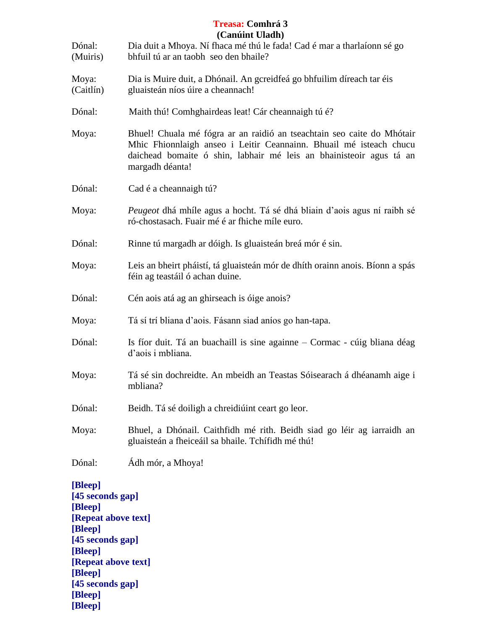|                                                                                                                                                                          | <b>Treasa: Comhrá 3</b><br>(Canúint Uladh)                                                                                                                                                                                             |
|--------------------------------------------------------------------------------------------------------------------------------------------------------------------------|----------------------------------------------------------------------------------------------------------------------------------------------------------------------------------------------------------------------------------------|
| Dónal:<br>(Muiris)                                                                                                                                                       | Dia duit a Mhoya. Ní fhaca mé thú le fada! Cad é mar a tharlaíonn sé go<br>bhfuil tú ar an taobh seo den bhaile?                                                                                                                       |
| Moya:<br>(Caitlín)                                                                                                                                                       | Dia is Muire duit, a Dhónail. An gcreidfeá go bhfuilim díreach tar éis<br>gluaisteán níos úire a cheannach!                                                                                                                            |
| Dónal:                                                                                                                                                                   | Maith thú! Comhghairdeas leat! Cár cheannaigh tú é?                                                                                                                                                                                    |
| Moya:                                                                                                                                                                    | Bhuel! Chuala mé fógra ar an raidió an tseachtain seo caite do Mhótair<br>Mhic Fhionnlaigh anseo i Leitir Ceannainn. Bhuail mé isteach chucu<br>daichead bomaite ó shin, labhair mé leis an bhainisteoir agus tá an<br>margadh déanta! |
| Dónal:                                                                                                                                                                   | Cad é a cheannaigh tú?                                                                                                                                                                                                                 |
| Moya:                                                                                                                                                                    | <i>Peugeot</i> dhá mhíle agus a hocht. Tá sé dhá bliain d'aois agus ní raibh sé<br>ró-chostasach. Fuair mé é ar fhiche míle euro.                                                                                                      |
| Dónal:                                                                                                                                                                   | Rinne tú margadh ar dóigh. Is gluaisteán breá mór é sin.                                                                                                                                                                               |
| Moya:                                                                                                                                                                    | Leis an bheirt pháistí, tá gluaisteán mór de dhíth orainn anois. Bíonn a spás<br>féin ag teastáil ó achan duine.                                                                                                                       |
| Dónal:                                                                                                                                                                   | Cén aois atá ag an ghirseach is óige anois?                                                                                                                                                                                            |
| Moya:                                                                                                                                                                    | Tá sí trí bliana d'aois. Fásann siad aníos go han-tapa.                                                                                                                                                                                |
| Dónal:                                                                                                                                                                   | Is fíor duit. Tá an buachaill is sine againne – Cormac - cúig bliana déag<br>d'aois i mbliana.                                                                                                                                         |
| Moya:                                                                                                                                                                    | Tá sé sin dochreidte. An mbeidh an Teastas Sóisearach á dhéanamh aige i<br>mbliana?                                                                                                                                                    |
| Dónal:                                                                                                                                                                   | Beidh. Tá sé doiligh a chreidiúint ceart go leor.                                                                                                                                                                                      |
| Moya:                                                                                                                                                                    | Bhuel, a Dhónail. Caithfidh mé rith. Beidh siad go léir ag iarraidh an<br>gluaisteán a fheiceáil sa bhaile. Tchífidh mé thú!                                                                                                           |
| Dónal:                                                                                                                                                                   | Ádh mór, a Mhoya!                                                                                                                                                                                                                      |
| [Bleep]<br>[45 seconds gap]<br>[Bleep]<br>[Repeat above text]<br>[Bleep]<br>[45 seconds gap]<br>[Bleep]<br>[Repeat above text]<br>[Bleep]<br>[45 seconds gap]<br>[Bleep] |                                                                                                                                                                                                                                        |

**[Bleep]**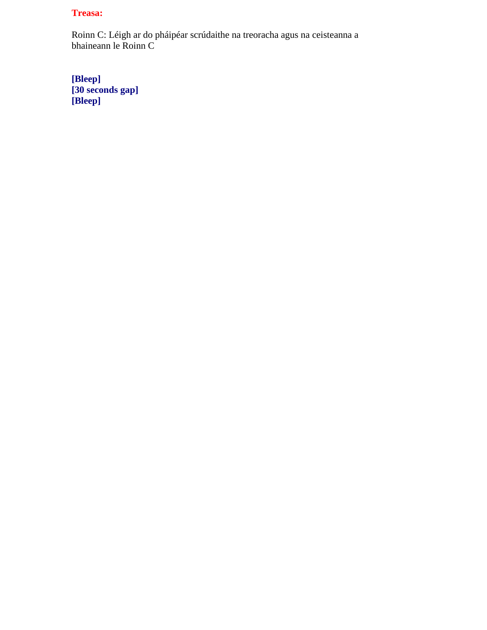Roinn C: Léigh ar do pháipéar scrúdaithe na treoracha agus na ceisteanna a bhaineann le Roinn C

**[Bleep] [30 seconds gap] [Bleep]**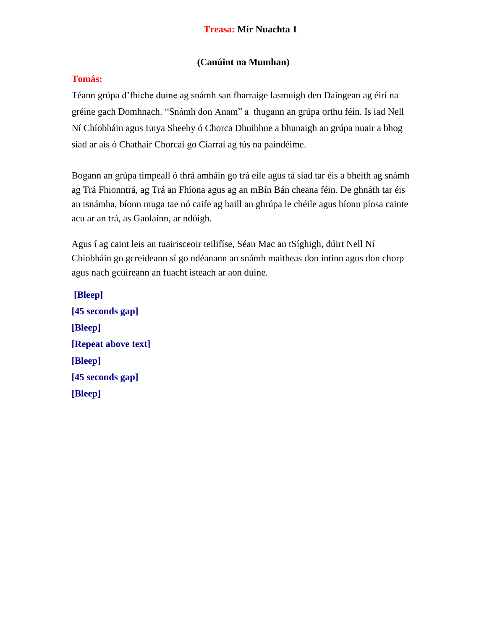### **(Canúint na Mumhan)**

### **Tomás:**

Téann grúpa d'fhiche duine ag snámh san fharraige lasmuigh den Daingean ag éirí na gréine gach Domhnach. "Snámh don Anam" a thugann an grúpa orthu féin. Is iad Nell Ní Chíobháin agus Enya Sheehy ó Chorca Dhuibhne a bhunaigh an grúpa nuair a bhog siad ar ais ó Chathair Chorcaí go Ciarraí ag tús na paindéime.

Bogann an grúpa timpeall ó thrá amháin go trá eile agus tá siad tar éis a bheith ag snámh ag Trá Fhionntrá, ag Trá an Fhíona agus ag an mBín Bán cheana féin. De ghnáth tar éis an tsnámha, bíonn muga tae nó caife ag baill an ghrúpa le chéile agus bíonn píosa cainte acu ar an trá, as Gaolainn, ar ndóigh.

Agus í ag caint leis an tuairisceoir teilifíse, Séan Mac an tSíghigh, dúirt Nell Ní Chíobháin go gcreideann sí go ndéanann an snámh maitheas don intinn agus don chorp agus nach gcuireann an fuacht isteach ar aon duine.

**[Bleep] [45 seconds gap] [Bleep] [Repeat above text] [Bleep] [45 seconds gap] [Bleep]**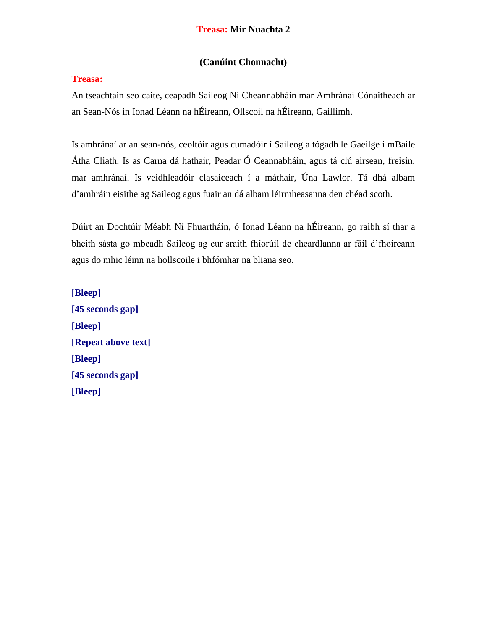### **(Canúint Chonnacht)**

### **Treasa:**

An tseachtain seo caite, ceapadh Saileog Ní Cheannabháin mar Amhránaí Cónaitheach ar an Sean-Nós in Ionad Léann na hÉireann, Ollscoil na hÉireann, Gaillimh.

Is amhránaí ar an sean-nós, ceoltóir agus cumadóir í Saileog a tógadh le Gaeilge i mBaile Átha Cliath. Is as Carna dá hathair, Peadar Ó Ceannabháin, agus tá clú airsean, freisin, mar amhránaí. Is veidhleadóir clasaiceach í a máthair, Úna Lawlor. Tá dhá albam d'amhráin eisithe ag Saileog agus fuair an dá albam léirmheasanna den chéad scoth.

Dúirt an Dochtúir Méabh Ní Fhuartháin, ó Ionad Léann na hÉireann, go raibh sí thar a bheith sásta go mbeadh Saileog ag cur sraith fhíorúil de cheardlanna ar fáil d'fhoireann agus do mhic léinn na hollscoile i bhfómhar na bliana seo.

**[Bleep] [45 seconds gap] [Bleep] [Repeat above text] [Bleep] [45 seconds gap] [Bleep]**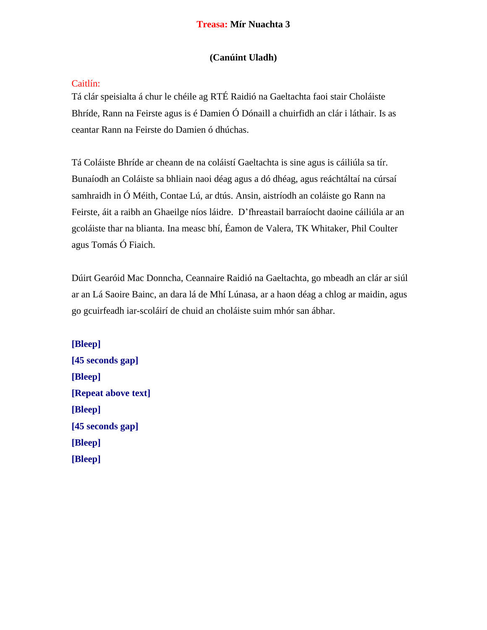#### **Treasa: Mír Nuachta 3**

#### **(Canúint Uladh)**

#### Caitlín:

Tá clár speisialta á chur le chéile ag RTÉ Raidió na Gaeltachta faoi stair Choláiste Bhríde, Rann na Feirste agus is é Damien Ó Dónaill a chuirfidh an clár i láthair. Is as ceantar Rann na Feirste do Damien ó dhúchas.

Tá Coláiste Bhríde ar cheann de na coláistí Gaeltachta is sine agus is cáiliúla sa tír. Bunaíodh an Coláiste sa bhliain naoi déag agus a dó dhéag, agus reáchtáltaí na cúrsaí samhraidh in Ó Méith, Contae Lú, ar dtús. Ansin, aistríodh an coláiste go Rann na Feirste, áit a raibh an Ghaeilge níos láidre. D'fhreastail barraíocht daoine cáiliúla ar an gcoláiste thar na blianta. Ina measc bhí, Éamon de Valera, TK Whitaker, Phil Coulter agus Tomás Ó Fiaich.

Dúirt Gearóid Mac Donncha, Ceannaire Raidió na Gaeltachta, go mbeadh an clár ar siúl ar an Lá Saoire Bainc, an dara lá de Mhí Lúnasa, ar a haon déag a chlog ar maidin, agus go gcuirfeadh iar-scoláirí de chuid an choláiste suim mhór san ábhar.

**[Bleep] [45 seconds gap] [Bleep] [Repeat above text] [Bleep] [45 seconds gap] [Bleep] [Bleep]**